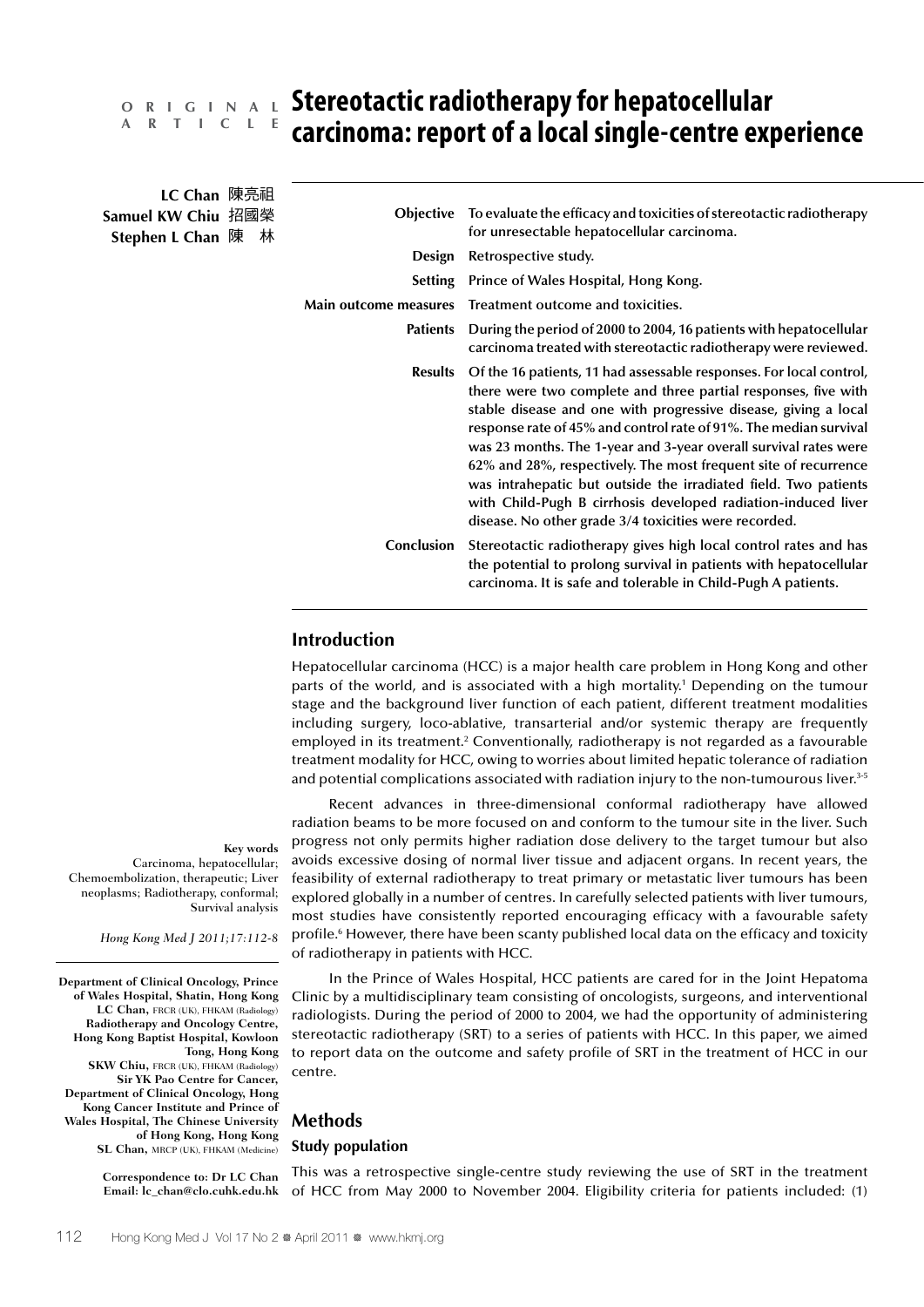# **A R T I C L E**

# **Stereotactic radiotherapy for hepatocellular O R I G I N A L carcinoma: report of a local single-centre experience**

| LC Chan 陳亮祖<br>Samuel KW Chiu 招國榮<br>Stephen L Chan 陳 林 |  |  |                       | <b>Objective</b> To evaluate the efficacy and toxicities of stereotactic radiotherapy<br>for unresectable hepatocellular carcinoma.                                                                                                                                                                                                                                                                                                                                                                                                                                                                               |  |  |  |  |
|---------------------------------------------------------|--|--|-----------------------|-------------------------------------------------------------------------------------------------------------------------------------------------------------------------------------------------------------------------------------------------------------------------------------------------------------------------------------------------------------------------------------------------------------------------------------------------------------------------------------------------------------------------------------------------------------------------------------------------------------------|--|--|--|--|
|                                                         |  |  | Design                | Retrospective study.                                                                                                                                                                                                                                                                                                                                                                                                                                                                                                                                                                                              |  |  |  |  |
|                                                         |  |  |                       | Setting Prince of Wales Hospital, Hong Kong.                                                                                                                                                                                                                                                                                                                                                                                                                                                                                                                                                                      |  |  |  |  |
|                                                         |  |  | Main outcome measures | Treatment outcome and toxicities.                                                                                                                                                                                                                                                                                                                                                                                                                                                                                                                                                                                 |  |  |  |  |
|                                                         |  |  | Patients              | During the period of 2000 to 2004, 16 patients with hepatocellular<br>carcinoma treated with stereotactic radiotherapy were reviewed.                                                                                                                                                                                                                                                                                                                                                                                                                                                                             |  |  |  |  |
|                                                         |  |  | <b>Results</b>        | Of the 16 patients, 11 had assessable responses. For local control,<br>there were two complete and three partial responses, five with<br>stable disease and one with progressive disease, giving a local<br>response rate of 45% and control rate of 91%. The median survival<br>was 23 months. The 1-year and 3-year overall survival rates were<br>62% and 28%, respectively. The most frequent site of recurrence<br>was intrahepatic but outside the irradiated field. Two patients<br>with Child-Pugh B cirrhosis developed radiation-induced liver<br>disease. No other grade 3/4 toxicities were recorded. |  |  |  |  |
|                                                         |  |  | Conclusion            | Stereotactic radiotherapy gives high local control rates and has<br>the potential to prolong survival in patients with hepatocellular<br>carcinoma. It is safe and tolerable in Child-Pugh A patients.                                                                                                                                                                                                                                                                                                                                                                                                            |  |  |  |  |

# **Introduction**

Hepatocellular carcinoma (HCC) is a major health care problem in Hong Kong and other parts of the world, and is associated with a high mortality.1 Depending on the tumour stage and the background liver function of each patient, different treatment modalities including surgery, loco-ablative, transarterial and/or systemic therapy are frequently employed in its treatment.<sup>2</sup> Conventionally, radiotherapy is not regarded as a favourable treatment modality for HCC, owing to worries about limited hepatic tolerance of radiation and potential complications associated with radiation injury to the non-tumourous liver.<sup>3-5</sup>

Recent advances in three-dimensional conformal radiotherapy have allowed radiation beams to be more focused on and conform to the tumour site in the liver. Such progress not only permits higher radiation dose delivery to the target tumour but also avoids excessive dosing of normal liver tissue and adjacent organs. In recent years, the feasibility of external radiotherapy to treat primary or metastatic liver tumours has been explored globally in a number of centres. In carefully selected patients with liver tumours, most studies have consistently reported encouraging efficacy with a favourable safety profile.<sup>6</sup> However, there have been scanty published local data on the efficacy and toxicity of radiotherapy in patients with HCC.

In the Prince of Wales Hospital, HCC patients are cared for in the Joint Hepatoma Clinic by a multidisciplinary team consisting of oncologists, surgeons, and interventional radiologists. During the period of 2000 to 2004, we had the opportunity of administering stereotactic radiotherapy (SRT) to a series of patients with HCC. In this paper, we aimed to report data on the outcome and safety profile of SRT in the treatment of HCC in our centre.

# **Methods**

#### **Study population**

This was a retrospective single-centre study reviewing the use of SRT in the treatment of HCC from May 2000 to November 2004. Eligibility criteria for patients included: (1)

**Key words** Carcinoma, hepatocellular; Chemoembolization, therapeutic; Liver neoplasms; Radiotherapy, conformal; Survival analysis

*Hong Kong Med J 2011;17:112-8*

**Department of Clinical Oncology, Prince of Wales Hospital, Shatin, Hong Kong LC Chan,** FRCR (UK), FHKAM (Radiology) **Radiotherapy and Oncology Centre, Hong Kong Baptist Hospital, Kowloon Tong, Hong Kong SKW Chiu,** FRCR (UK), FHKAM (Radiology) **Sir YK Pao Centre for Cancer, Department of Clinical Oncology, Hong Kong Cancer Institute and Prince of Wales Hospital, The Chinese University of Hong Kong, Hong Kong SL Chan, MRCP** (UK), FHKAM (Medicine)

> **Correspondence to: Dr LC Chan Email: lc\_chan@clo.cuhk.edu.hk**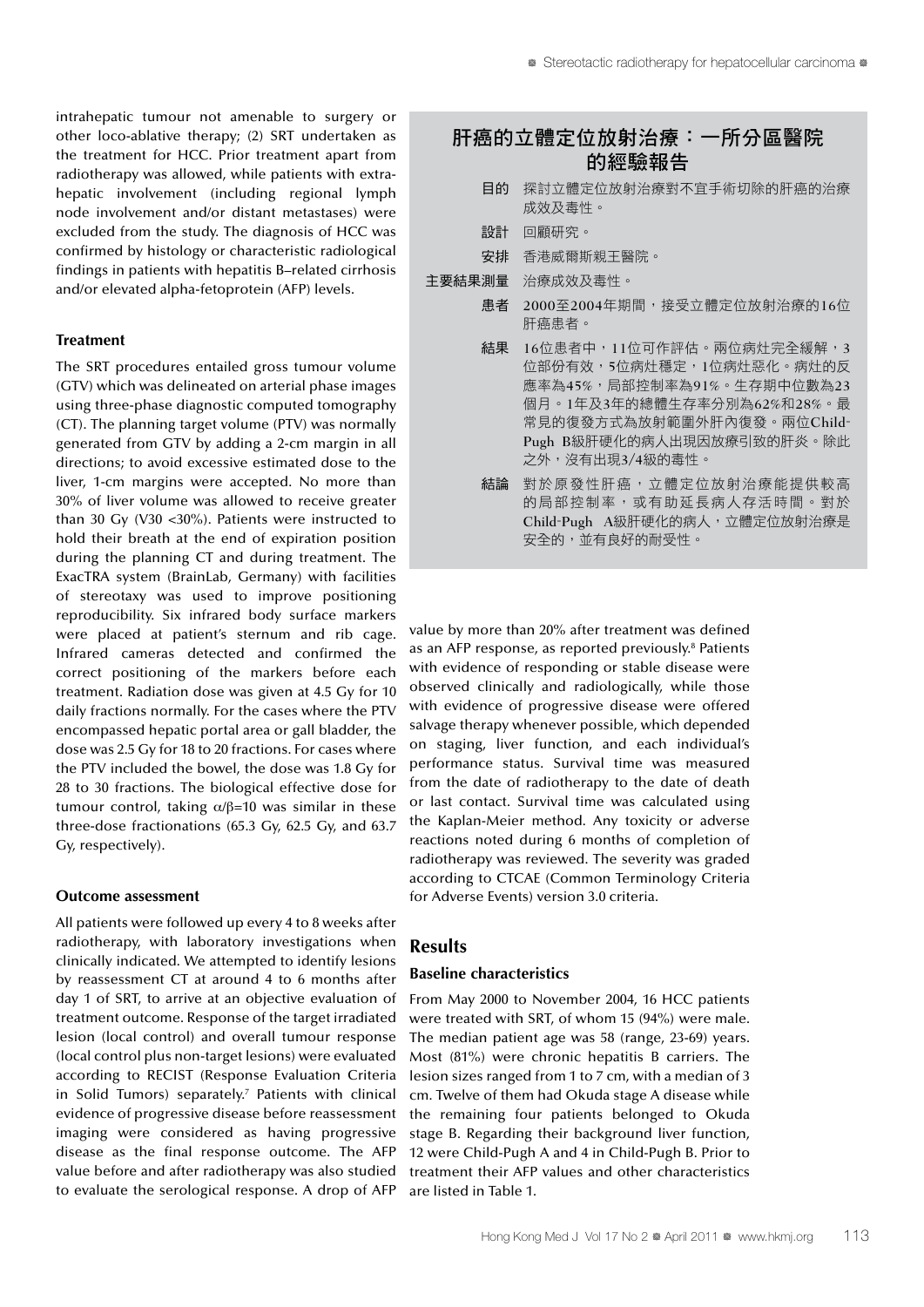intrahepatic tumour not amenable to surgery or other loco-ablative therapy; (2) SRT undertaken as the treatment for HCC. Prior treatment apart from radiotherapy was allowed, while patients with extrahepatic involvement (including regional lymph node involvement and/or distant metastases) were excluded from the study. The diagnosis of HCC was confirmed by histology or characteristic radiological findings in patients with hepatitis B–related cirrhosis and/or elevated alpha-fetoprotein (AFP) levels.

## **Treatment**

The SRT procedures entailed gross tumour volume (GTV) which was delineated on arterial phase images using three-phase diagnostic computed tomography (CT). The planning target volume (PTV) was normally generated from GTV by adding a 2-cm margin in all directions; to avoid excessive estimated dose to the liver, 1-cm margins were accepted. No more than 30% of liver volume was allowed to receive greater than 30 Gy (V30 <30%). Patients were instructed to hold their breath at the end of expiration position during the planning CT and during treatment. The ExacTRA system (BrainLab, Germany) with facilities of stereotaxy was used to improve positioning reproducibility. Six infrared body surface markers were placed at patient's sternum and rib cage. Infrared cameras detected and confirmed the correct positioning of the markers before each treatment. Radiation dose was given at 4.5 Gy for 10 daily fractions normally. For the cases where the PTV encompassed hepatic portal area or gall bladder, the dose was 2.5 Gy for 18 to 20 fractions. For cases where the PTV included the bowel, the dose was 1.8 Gy for 28 to 30 fractions. The biological effective dose for tumour control, taking  $\alpha/\beta=10$  was similar in these three-dose fractionations (65.3 Gy, 62.5 Gy, and 63.7 Gy, respectively).

#### **Outcome assessment**

All patients were followed up every 4 to 8 weeks after radiotherapy, with laboratory investigations when clinically indicated. We attempted to identify lesions by reassessment CT at around 4 to 6 months after day 1 of SRT, to arrive at an objective evaluation of treatment outcome. Response of the target irradiated lesion (local control) and overall tumour response (local control plus non-target lesions) were evaluated according to RECIST (Response Evaluation Criteria in Solid Tumors) separately.7 Patients with clinical evidence of progressive disease before reassessment imaging were considered as having progressive disease as the final response outcome. The AFP value before and after radiotherapy was also studied to evaluate the serological response. A drop of AFP

# 肝癌的立體定位放射治療:一所分區醫院 的經驗報告

- 目的 探討立體定位放射治療對不宜手術切除的肝癌的治療 成效及毒性。
- 設計 回顧研究。
- 安排 香港威爾斯親王醫院。
- 主要結果測量 治療成效及毒性。
	- 患者 2000至2004年期間,接受立體定位放射治療的16位 肝癌患者。
	- 結果 16位患者中,11位可作評估。兩位病灶完全緩解,3 位部份有效,5位病灶穩定,1位病灶惡化。病灶的反 應率為45%,局部控制率為91%。生存期中位數為23 個月。1年及3年的總體生存率分別為62%和28%。最 常見的復發方式為放射範圍外肝內復發。兩位Child-Pugh B級肝硬化的病人出現因放療引致的肝炎。除此 之外,沒有出現3/4級的毒性。
		- 結論 對於原發性肝癌,立體定位放射治療能提供較高 的局部控制率,或有助延長病人存活時間。對於 Child-Pugh A級肝硬化的病人,立體定位放射治療是 安全的,並有良好的耐受性。

value by more than 20% after treatment was defined as an AFP response, as reported previously.<sup>8</sup> Patients with evidence of responding or stable disease were observed clinically and radiologically, while those with evidence of progressive disease were offered salvage therapy whenever possible, which depended on staging, liver function, and each individual's performance status. Survival time was measured from the date of radiotherapy to the date of death or last contact. Survival time was calculated using the Kaplan-Meier method. Any toxicity or adverse reactions noted during 6 months of completion of radiotherapy was reviewed. The severity was graded according to CTCAE (Common Terminology Criteria for Adverse Events) version 3.0 criteria.

# **Results**

#### **Baseline characteristics**

From May 2000 to November 2004, 16 HCC patients were treated with SRT, of whom 15 (94%) were male. The median patient age was 58 (range, 23-69) years. Most (81%) were chronic hepatitis B carriers. The lesion sizes ranged from 1 to 7 cm, with a median of 3 cm. Twelve of them had Okuda stage A disease while the remaining four patients belonged to Okuda stage B. Regarding their background liver function, 12 were Child-Pugh A and 4 in Child-Pugh B. Prior to treatment their AFP values and other characteristics are listed in Table 1.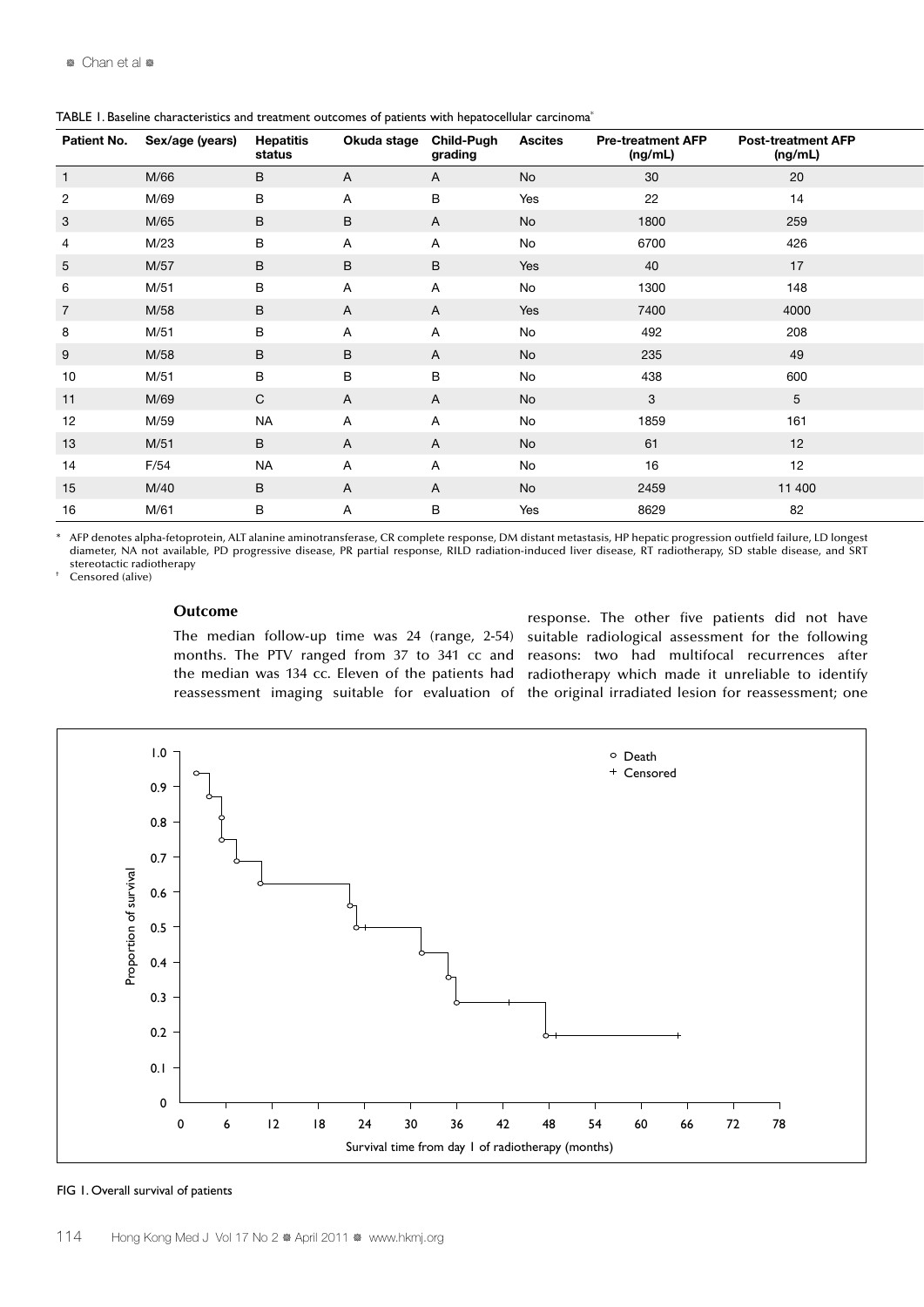| Patient No.     | Sex/age (years) | <b>Hepatitis</b><br>status | Okuda stage Child-Pugh | grading      | <b>Ascites</b> | <b>Pre-treatment AFP</b><br>(ng/mL) | <b>Post-treatment AFP</b><br>(ng/mL) |  |
|-----------------|-----------------|----------------------------|------------------------|--------------|----------------|-------------------------------------|--------------------------------------|--|
|                 | M/66            | B                          | A                      | $\mathsf{A}$ | No             | 30                                  | 20                                   |  |
| $\overline{2}$  | M/69            | B                          | $\mathsf{A}$           | B            | Yes            | 22                                  | 14                                   |  |
| $\mathbf{3}$    | M/65            | $\mathsf{B}$               | B                      | $\mathsf{A}$ | <b>No</b>      | 1800                                | 259                                  |  |
| $\overline{4}$  | M/23            | $\mathsf{B}$               | $\mathsf{A}$           | $\mathsf{A}$ | No             | 6700                                | 426                                  |  |
| $5\phantom{.0}$ | M/57            | $\mathsf{B}$               | $\mathsf B$            | B            | Yes            | 40                                  | 17                                   |  |
| 6               | M/51            | B                          | $\mathsf{A}$           | A            | No             | 1300                                | 148                                  |  |
| $\overline{7}$  | M/58            | $\mathsf{B}$               | $\mathsf{A}$           | $\mathsf{A}$ | Yes            | 7400                                | 4000                                 |  |
| 8               | M/51            | $\mathsf{B}$               | $\mathsf{A}$           | $\mathsf{A}$ | No             | 492                                 | 208                                  |  |
| 9               | M/58            | $\mathsf{B}$               | $\mathsf{B}$           | $\mathsf{A}$ | No             | 235                                 | 49                                   |  |
| 10              | M/51            | B                          | B                      | B            | No             | 438                                 | 600                                  |  |
| 11              | M/69            | $\mathsf{C}$               | $\mathsf{A}$           | $\mathsf{A}$ | No             | $\mathbf{3}$                        | $5\overline{)}$                      |  |
| 12              | M/59            | <b>NA</b>                  | A                      | $\mathsf{A}$ | No             | 1859                                | 161                                  |  |
| $13$            | M/51            | $\mathsf{B}$               | $\mathsf{A}$           | $\mathsf{A}$ | No             | 61                                  | 12                                   |  |
| 14              | F/54            | <b>NA</b>                  | A                      | $\mathsf{A}$ | No             | 16                                  | 12                                   |  |
| 15              | M/40            | $\mathsf{B}$               | $\mathsf{A}$           | $\mathsf{A}$ | No             | 2459                                | 11 400                               |  |
| 16              | M/61            | B                          | A                      | B            | Yes            | 8629                                | 82                                   |  |

TABLE 1. Baseline characteristics and treatment outcomes of patients with hepatocellular carcinoma\*

\* AFP denotes alpha-fetoprotein, ALT alanine aminotransferase, CR complete response, DM distant metastasis, HP hepatic progression outfield failure, LD longest diameter, NA not available, PD progressive disease, PR partial response, RILD radiation-induced liver disease, RT radiotherapy, SD stable disease, and SRT stereotactic radiotherapy

Censored (alive)

# **Outcome**

The median follow-up time was 24 (range, 2-54) months. The PTV ranged from 37 to 341 cc and the median was 134 cc. Eleven of the patients had reassessment imaging suitable for evaluation of

response. The other five patients did not have suitable radiological assessment for the following reasons: two had multifocal recurrences after radiotherapy which made it unreliable to identify the original irradiated lesion for reassessment; one



#### FIG 1. Overall survival of patients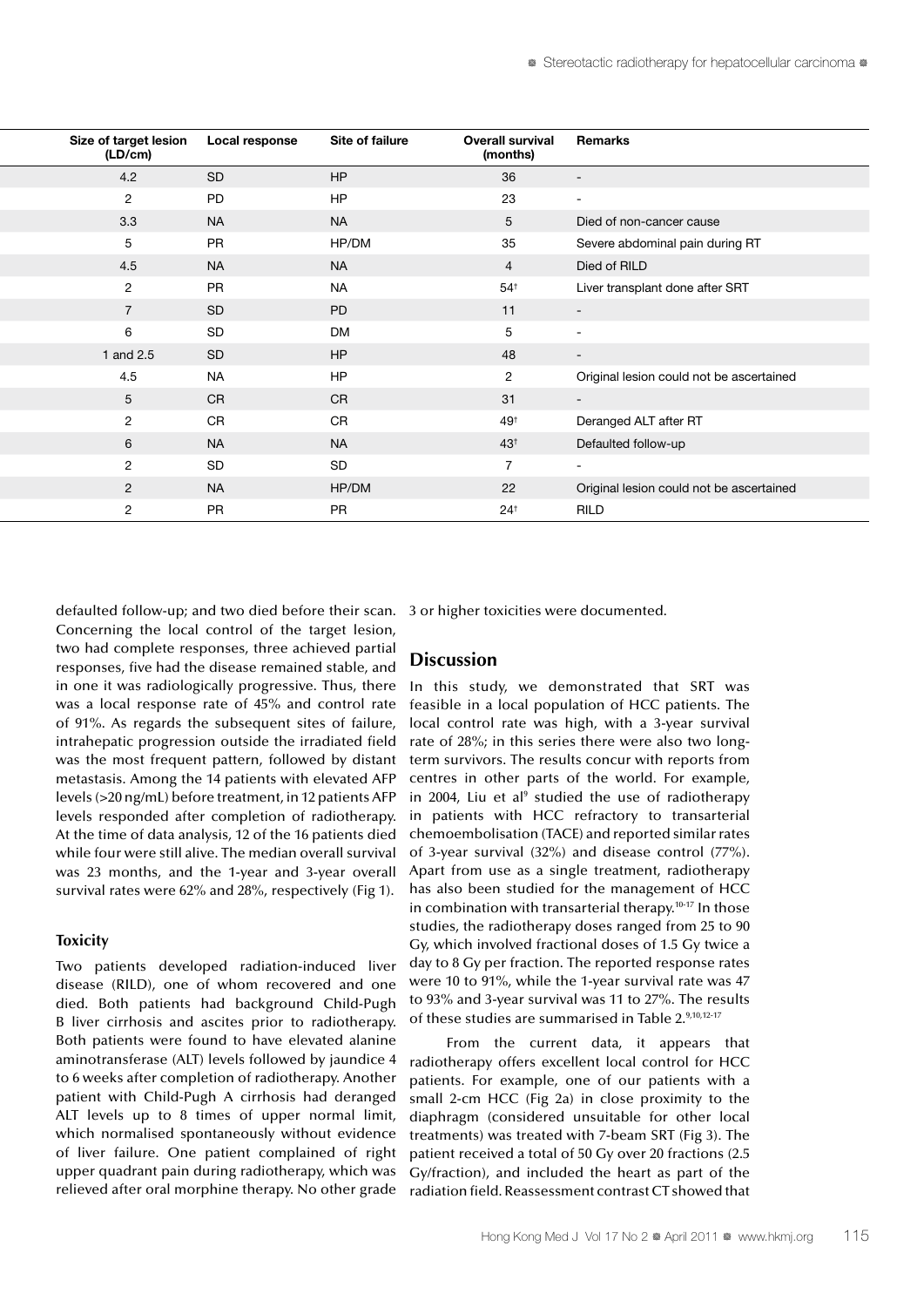| Remarks                                  | <b>Overall survival</b><br>(months) | Site of failure | <b>Local response</b> | Size of target lesion<br>(LD/cm) |
|------------------------------------------|-------------------------------------|-----------------|-----------------------|----------------------------------|
| $\sim$                                   | 36                                  | HP              | $\mathsf{SD}$         | 4.2                              |
| $\sim$                                   | 23                                  | <b>HP</b>       | ${\sf PD}$            | 2                                |
| Died of non-cancer cause                 | $5\overline{)}$                     | <b>NA</b>       | <b>NA</b>             | 3.3                              |
| Severe abdominal pain during RT          | 35                                  | HP/DM           | PR                    | 5                                |
| Died of RILD                             | $\overline{4}$                      | <b>NA</b>       | <b>NA</b>             | 4.5                              |
| Liver transplant done after SRT          | $54^{\dagger}$                      | <b>NA</b>       | PR                    | $\overline{2}$                   |
| $\sim$ $-$                               | 11                                  | PD              | SD                    | $\overline{7}$                   |
| $\sim$                                   | 5                                   | <b>DM</b>       | $\mbox{SD}$           | 6                                |
| $\sim$ $-$                               | 48                                  | HP              | $\mathsf{SD}$         | 1 and 2.5                        |
| Original lesion could not be ascertained | $\overline{2}$                      | <b>HP</b>       | <b>NA</b>             | 4.5                              |
| $\sim$ 10 $\pm$                          | 31                                  | CR              | CR                    | $5\overline{)}$                  |
| Deranged ALT after RT                    | 49 <sup>+</sup>                     | CR              | CR                    | $\overline{2}$                   |
| Defaulted follow-up                      | 43 <sup>†</sup>                     | <b>NA</b>       | <b>NA</b>             | $6\overline{6}$                  |
| $\sim$ 10 $\pm$                          | $\overline{7}$                      | SD              | SD                    | 2                                |
| Original lesion could not be ascertained | 22                                  | HP/DM           | <b>NA</b>             | $\overline{2}$                   |
| RILD                                     | 24 <sup>†</sup>                     | PR              | PR                    | $\overline{2}$                   |
|                                          |                                     |                 |                       |                                  |

defaulted follow-up; and two died before their scan. Concerning the local control of the target lesion, two had complete responses, three achieved partial responses, five had the disease remained stable, and in one it was radiologically progressive. Thus, there was a local response rate of 45% and control rate of 91%. As regards the subsequent sites of failure, intrahepatic progression outside the irradiated field was the most frequent pattern, followed by distant metastasis. Among the 14 patients with elevated AFP levels (>20 ng/mL) before treatment, in 12 patients AFP levels responded after completion of radiotherapy. At the time of data analysis, 12 of the 16 patients died while four were still alive. The median overall survival was 23 months, and the 1-year and 3-year overall survival rates were 62% and 28%, respectively (Fig 1).

# **Toxicity**

Two patients developed radiation-induced liver disease (RILD), one of whom recovered and one died. Both patients had background Child-Pugh B liver cirrhosis and ascites prior to radiotherapy. Both patients were found to have elevated alanine aminotransferase (ALT) levels followed by jaundice 4 to 6 weeks after completion of radiotherapy. Another patient with Child-Pugh A cirrhosis had deranged ALT levels up to 8 times of upper normal limit, which normalised spontaneously without evidence of liver failure. One patient complained of right upper quadrant pain during radiotherapy, which was relieved after oral morphine therapy. No other grade

3 or higher toxicities were documented.

## **Discussion**

In this study, we demonstrated that SRT was feasible in a local population of HCC patients. The local control rate was high, with a 3-year survival rate of 28%; in this series there were also two longterm survivors. The results concur with reports from centres in other parts of the world. For example, in 2004, Liu et al<sup>9</sup> studied the use of radiotherapy in patients with HCC refractory to transarterial chemoembolisation (TACE) and reported similar rates of 3-year survival (32%) and disease control (77%). Apart from use as a single treatment, radiotherapy has also been studied for the management of HCC in combination with transarterial therapy.10-17 In those studies, the radiotherapy doses ranged from 25 to 90 Gy, which involved fractional doses of 1.5 Gy twice a day to 8 Gy per fraction. The reported response rates were 10 to 91%, while the 1-year survival rate was 47 to 93% and 3-year survival was 11 to 27%. The results of these studies are summarised in Table 2.9,10,12-17

From the current data, it appears that radiotherapy offers excellent local control for HCC patients. For example, one of our patients with a small 2-cm HCC (Fig 2a) in close proximity to the diaphragm (considered unsuitable for other local treatments) was treated with 7-beam SRT (Fig 3). The patient received a total of 50 Gy over 20 fractions (2.5 Gy/fraction), and included the heart as part of the radiation field. Reassessment contrast CT showed that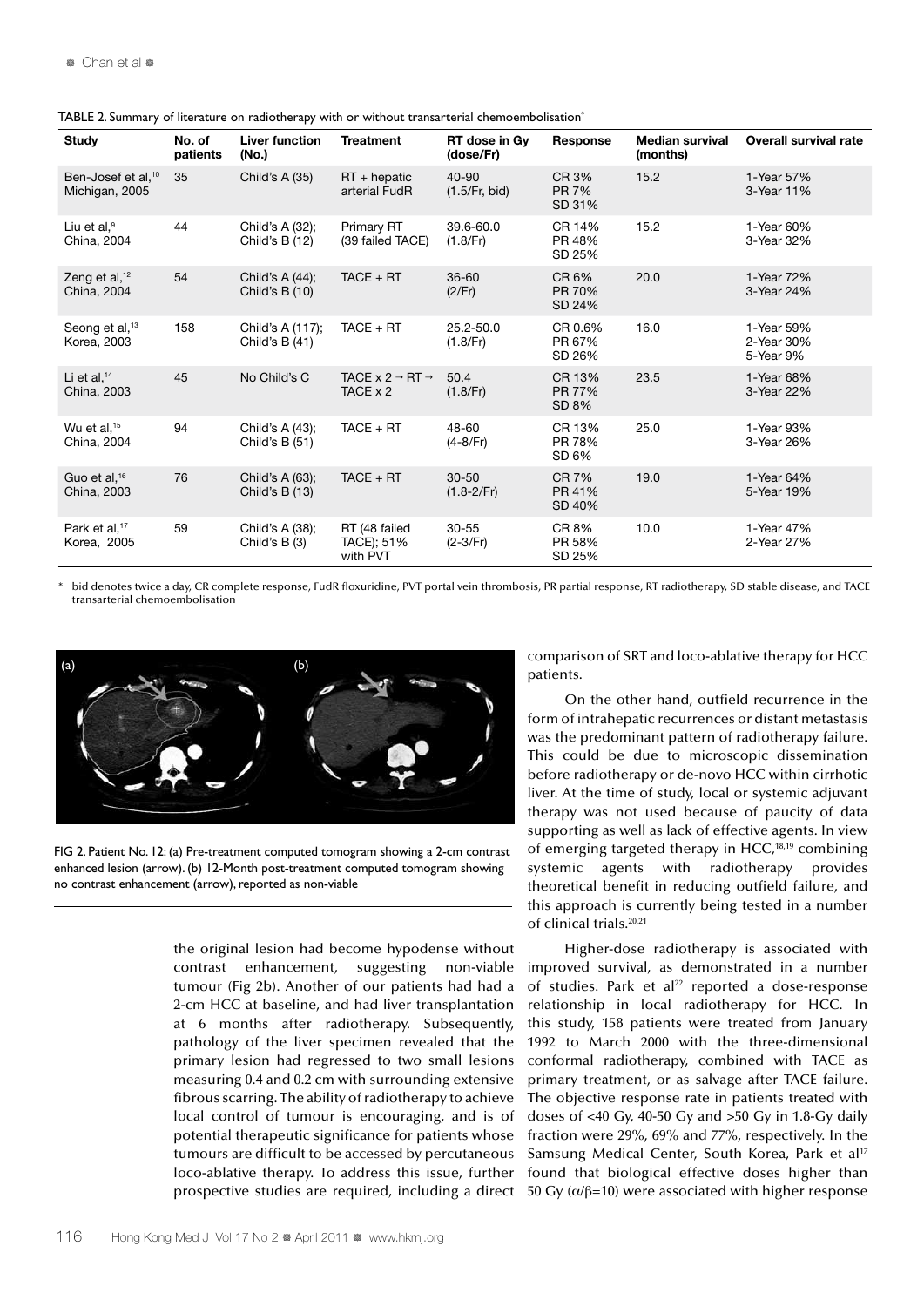| <b>Study</b>                                     | No. of<br>patients | <b>Liver function</b><br>(No.)     | <b>Treatment</b>                                  | RT dose in Gy<br>(dose/Fr)                          | Response                         | <b>Median survival</b><br>(months) | Overall survival rate                 |
|--------------------------------------------------|--------------------|------------------------------------|---------------------------------------------------|-----------------------------------------------------|----------------------------------|------------------------------------|---------------------------------------|
| Ben-Josef et al, <sup>10</sup><br>Michigan, 2005 | 35                 | Child's A (35)                     | $RT + hepatic$<br>arterial FudR                   | $40 - 90$<br>(1.5/Fr, bid)                          | CR 3%<br><b>PR 7%</b><br>SD 31%  | 15.2                               | 1-Year 57%<br>3-Year 11%              |
| Liu et al. $9$<br>China, 2004                    | 44                 | Child's A (32);<br>Child's B (12)  | Primary RT<br>(39 failed TACE)                    | 39.6-60.0<br>CR 14%<br>PR 48%<br>(1.8/Fr)<br>SD 25% |                                  | 15.2                               | 1-Year 60%<br>3-Year 32%              |
| Zeng et al, <sup>12</sup><br>China, 2004         | 54                 | Child's A (44);<br>Child's B (10)  | $TACE + RT$                                       | $36 - 60$<br>(2/Fr)                                 | CR 6%<br>PR 70%<br>SD 24%        | 20.0                               | 1-Year 72%<br>3-Year 24%              |
| Seong et al, <sup>13</sup><br>Korea, 2003        | 158                | Child's A (117);<br>Child's B (41) | $TACE + RT$                                       | 25.2-50.0<br>(1.8/Fr)                               | CR 0.6%<br>PR 67%<br>SD 26%      | 16.0                               | 1-Year 59%<br>2-Year 30%<br>5-Year 9% |
| Li et al, $14$<br>China, 2003                    | 45                 | No Child's C                       | TACE $x 2 \rightarrow RT \rightarrow$<br>TACE x 2 | 50.4<br>(1.8/Fr)                                    | CR 13%<br><b>PR 77%</b><br>SD 8% | 23.5                               | 1-Year 68%<br>3-Year 22%              |
| Wu et al. $15$<br>China, 2004                    | 94                 | Child's A (43);<br>Child's B (51)  | $TACE + RT$                                       | 48-60<br>$(4 - 8/Fr)$                               | CR 13%<br>PR 78%<br>SD 6%        | 25.0                               | 1-Year 93%<br>3-Year 26%              |
| Guo et al. <sup>16</sup><br>China, 2003          | 76                 | Child's A (63);<br>Child's B (13)  | $TACE + RT$                                       | $30 - 50$<br>$(1.8 - 2/Fr)$                         | <b>CR7%</b><br>PR 41%<br>SD 40%  | 19.0                               | 1-Year 64%<br>5-Year 19%              |
| Park et al. <sup>17</sup><br>Korea, 2005         | 59                 | Child's A (38);<br>Child's $B(3)$  | RT (48 failed<br>TACE); 51%<br>with PVT           | 30-55<br>$(2-3/Fr)$                                 | CR 8%<br>PR 58%<br>SD 25%        | 10.0                               | 1-Year 47%<br>2-Year 27%              |

TABLE 2. Summary of literature on radiotherapy with or without transarterial chemoembolisation\*

\* bid denotes twice a day, CR complete response, FudR floxuridine, PVT portal vein thrombosis, PR partial response, RT radiotherapy, SD stable disease, and TACE transarterial chemoembolisation



FIG 2. Patient No. 12: (a) Pre-treatment computed tomogram showing a 2-cm contrast enhanced lesion (arrow). (b) 12-Month post-treatment computed tomogram showing no contrast enhancement (arrow), reported as non-viable

the original lesion had become hypodense without contrast enhancement, suggesting non-viable tumour (Fig 2b). Another of our patients had had a 2-cm HCC at baseline, and had liver transplantation at 6 months after radiotherapy. Subsequently, pathology of the liver specimen revealed that the primary lesion had regressed to two small lesions measuring 0.4 and 0.2 cm with surrounding extensive fibrous scarring. The ability of radiotherapy to achieve local control of tumour is encouraging, and is of potential therapeutic significance for patients whose tumours are difficult to be accessed by percutaneous loco-ablative therapy. To address this issue, further prospective studies are required, including a direct

comparison of SRT and loco-ablative therapy for HCC patients.

On the other hand, outfield recurrence in the form of intrahepatic recurrences or distant metastasis was the predominant pattern of radiotherapy failure. This could be due to microscopic dissemination before radiotherapy or de-novo HCC within cirrhotic liver. At the time of study, local or systemic adjuvant therapy was not used because of paucity of data supporting as well as lack of effective agents. In view of emerging targeted therapy in HCC, $18,19$  combining systemic agents with radiotherapy provides theoretical benefit in reducing outfield failure, and this approach is currently being tested in a number of clinical trials.<sup>20,21</sup>

Higher-dose radiotherapy is associated with improved survival, as demonstrated in a number of studies. Park et al<sup>22</sup> reported a dose-response relationship in local radiotherapy for HCC. In this study, 158 patients were treated from January 1992 to March 2000 with the three-dimensional conformal radiotherapy, combined with TACE as primary treatment, or as salvage after TACE failure. The objective response rate in patients treated with doses of  $\leq 40$  Gy, 40-50 Gy and  $>50$  Gy in 1.8-Gy daily fraction were 29%, 69% and 77%, respectively. In the Samsung Medical Center, South Korea, Park et al<sup>17</sup> found that biological effective doses higher than 50 Gy ( $α/β=10$ ) were associated with higher response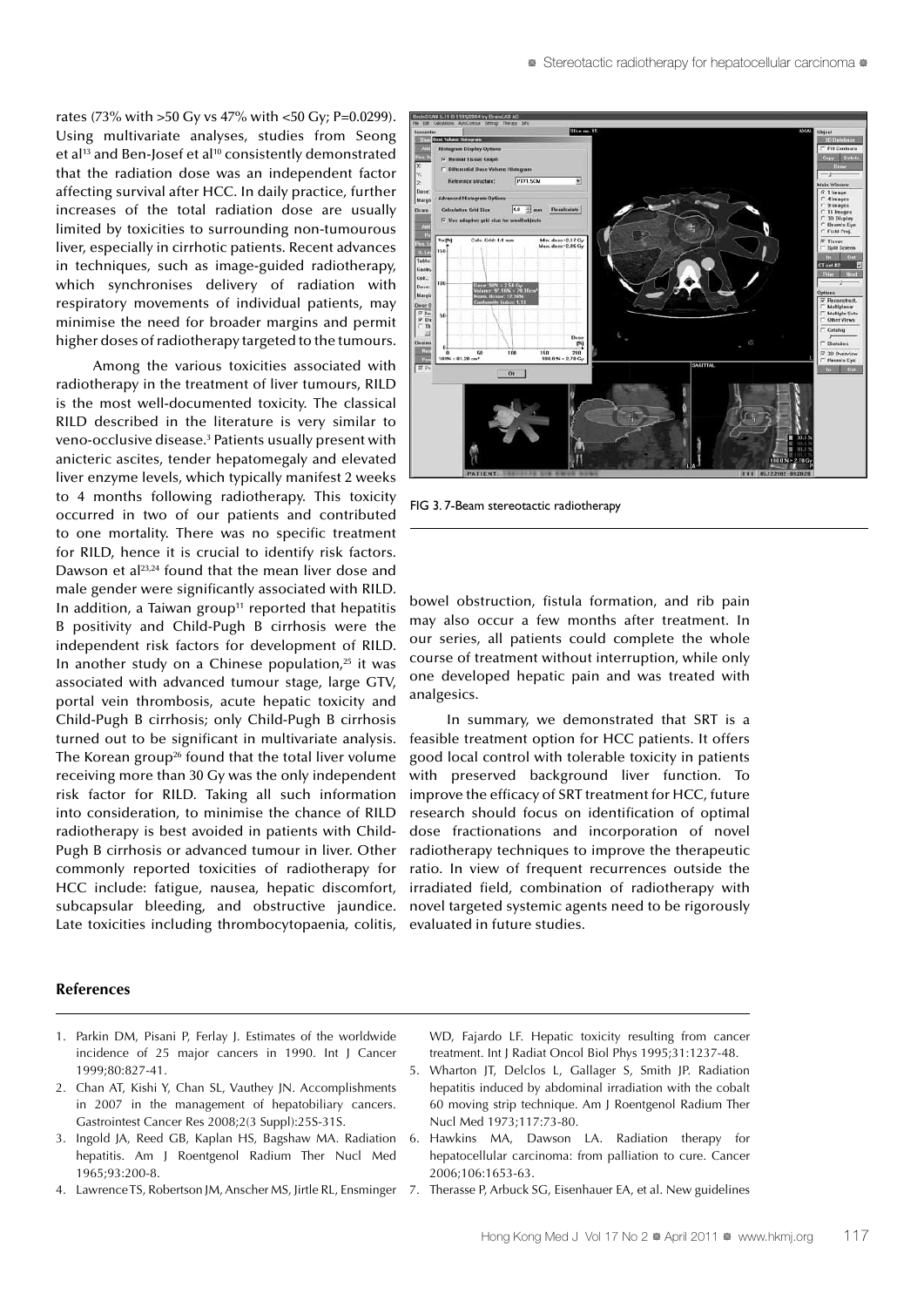rates (73% with >50 Gy vs 47% with <50 Gy; P=0.0299). Using multivariate analyses, studies from Seong et al<sup>13</sup> and Ben-Josef et al<sup>10</sup> consistently demonstrated that the radiation dose was an independent factor affecting survival after HCC. In daily practice, further increases of the total radiation dose are usually limited by toxicities to surrounding non-tumourous liver, especially in cirrhotic patients. Recent advances in techniques, such as image-guided radiotherapy, which synchronises delivery of radiation with respiratory movements of individual patients, may minimise the need for broader margins and permit higher doses of radiotherapy targeted to the tumours.

Among the various toxicities associated with radiotherapy in the treatment of liver tumours, RILD is the most well-documented toxicity. The classical RILD described in the literature is very similar to veno-occlusive disease.<sup>3</sup> Patients usually present with anicteric ascites, tender hepatomegaly and elevated liver enzyme levels, which typically manifest 2 weeks to 4 months following radiotherapy. This toxicity occurred in two of our patients and contributed to one mortality. There was no specific treatment for RILD, hence it is crucial to identify risk factors. Dawson et al<sup>23,24</sup> found that the mean liver dose and male gender were significantly associated with RILD. In addition, a Taiwan group<sup>11</sup> reported that hepatitis B positivity and Child-Pugh B cirrhosis were the independent risk factors for development of RILD. In another study on a Chinese population, $25$  it was associated with advanced tumour stage, large GTV, portal vein thrombosis, acute hepatic toxicity and Child-Pugh B cirrhosis; only Child-Pugh B cirrhosis turned out to be significant in multivariate analysis. The Korean group<sup>26</sup> found that the total liver volume receiving more than 30 Gy was the only independent risk factor for RILD. Taking all such information into consideration, to minimise the chance of RILD radiotherapy is best avoided in patients with Child-Pugh B cirrhosis or advanced tumour in liver. Other commonly reported toxicities of radiotherapy for HCC include: fatigue, nausea, hepatic discomfort, subcapsular bleeding, and obstructive jaundice. Late toxicities including thrombocytopaenia, colitis,

#### **References**

- 1. Parkin DM, Pisani P, Ferlay J. Estimates of the worldwide incidence of 25 major cancers in 1990. Int J Cancer 1999;80:827-41.
- 2. Chan AT, Kishi Y, Chan SL, Vauthey JN. Accomplishments in 2007 in the management of hepatobiliary cancers. Gastrointest Cancer Res 2008;2(3 Suppl):25S-31S.
- 3. Ingold JA, Reed GB, Kaplan HS, Bagshaw MA. Radiation hepatitis. Am J Roentgenol Radium Ther Nucl Med 1965;93:200-8.
- 4. Lawrence TS, Robertson JM, Anscher MS, Jirtle RL, Ensminger 7.



FIG 3. 7-Beam stereotactic radiotherapy

bowel obstruction, fistula formation, and rib pain may also occur a few months after treatment. In our series, all patients could complete the whole course of treatment without interruption, while only one developed hepatic pain and was treated with analgesics.

In summary, we demonstrated that SRT is a feasible treatment option for HCC patients. It offers good local control with tolerable toxicity in patients with preserved background liver function. To improve the efficacy of SRT treatment for HCC, future research should focus on identification of optimal dose fractionations and incorporation of novel radiotherapy techniques to improve the therapeutic ratio. In view of frequent recurrences outside the irradiated field, combination of radiotherapy with novel targeted systemic agents need to be rigorously evaluated in future studies.

WD, Fajardo LF. Hepatic toxicity resulting from cancer treatment. Int J Radiat Oncol Biol Phys 1995;31:1237-48.

- 5. Wharton JT, Delclos L, Gallager S, Smith JP. Radiation hepatitis induced by abdominal irradiation with the cobalt 60 moving strip technique. Am J Roentgenol Radium Ther Nucl Med 1973;117:73-80.
- 6. Hawkins MA, Dawson LA. Radiation therapy for hepatocellular carcinoma: from palliation to cure. Cancer 2006;106:1653-63.
	- Therasse P, Arbuck SG, Eisenhauer EA, et al. New guidelines